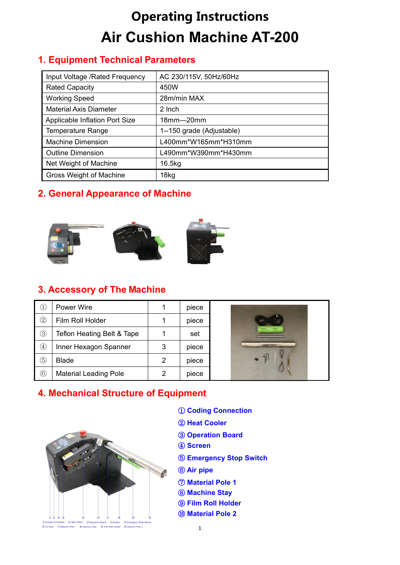# **Operating Instructions Air Cushion Machine AT-200**

## **1. Equipment Technical Parameters**

| Input Voltage / Rated Frequency | AC 230/115V, 50Hz/60Hz    |
|---------------------------------|---------------------------|
| <b>Rated Capacity</b>           | 450W                      |
| <b>Working Speed</b>            | 28m/min MAX               |
| <b>Material Axis Diameter</b>   | 2 Inch                    |
| Applicable Inflation Port Size  | $18mm - 20mm$             |
| <b>Temperature Range</b>        | 1--150 grade (Adjustable) |
| <b>Machine Dimension</b>        | L400mm*W165mm*H310mm      |
| <b>Outline Dimension</b>        | L490mm*W390mm*H430mm      |
| Net Weight of Machine           | 16.5kg                    |
| <b>Gross Weight of Machine</b>  | 18 <sub>kg</sub>          |

# **2. General Appearance of Machine**



## **3. Accessory of The Machine**

| U,              | Power Wire                   |   | piece |   |
|-----------------|------------------------------|---|-------|---|
| $^{\copyright}$ | Film Roll Holder             |   | piece |   |
| $\circledS$     | Teflon Heating Belt & Tape   |   | set   | ⋿ |
| $\circled{4}$   | Inner Hexagon Spanner        | 3 | piece |   |
| (5)             | <b>Blade</b>                 | 2 | piece |   |
| $^\copyright$   | <b>Material Leading Pole</b> | 2 | piece |   |

## **4. Mechanical Structure of Equipment**



- ① **Coding Connection**
- ② **Heat Cooler**
- ③ **Operation Board**
- ④ **Screen**
- ⑤ **Emergency Stop Switch**
- ⑥ **Air pipe**
- ⑦ **Material Pole 1**
- ⑧ **Machine Stay**
- ⑨ **Film Roll Holder**
- ⑩ **Material Pole 2**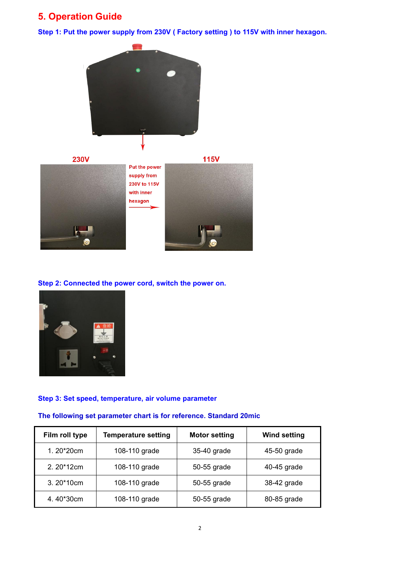# **5. Operation Guide**

**Step 1: Put the powersupply from 230V ( Factory setting )to 115V with inner hexagon.**





#### **Step 2: Connected the powercord, switch the power on.**



#### **Step 3: Set speed, temperature, air volume parameter**

#### **The following set parameter chart is for reference. Standard 20mic**

| Film roll type | <b>Temperature setting</b> | <b>Motor setting</b> | <b>Wind setting</b> |
|----------------|----------------------------|----------------------|---------------------|
| 1.20*20cm      | 108-110 grade              | 35-40 grade          | 45-50 grade         |
| $2.20*12cm$    | 108-110 grade              | 50-55 grade          | 40-45 grade         |
| $3.20*10cm$    | 108-110 grade              | 50-55 grade          | 38-42 grade         |
| 4.40*30cm      | 108-110 grade              | 50-55 grade          | 80-85 grade         |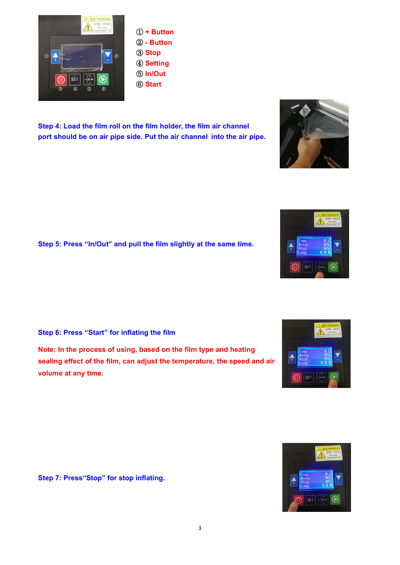**Step 4: Load the film roll on the film holder, the film air channel port should be on air pipe side. Put the air channel into the air pipe.**

**Step 5: Press "In/Out" and pull the film slightly at the same time.**

**Step 6: Press "Start" for inflating the film**

**Note: In the process of using, based on the film type and heating sealing effect of the film, can adjust the temperature, the speed and air volume at any time.**

**Step 7: Press"Stop" for stop inflating.**

③ **Stop**  $\overline{a}$ ④ **Setting** ⑤ **In/Out** ⑥ **Start**











 $\mathbb{G}$ 

**SET**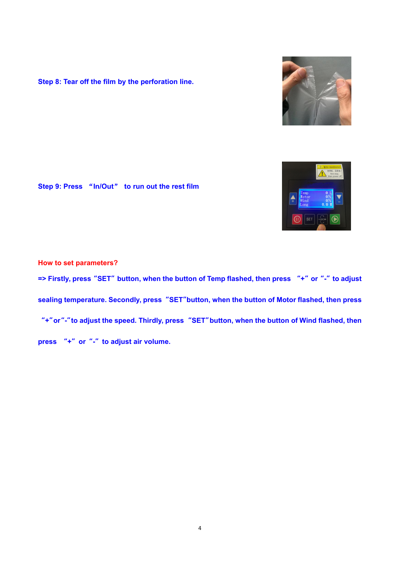**Step 8: Tear off the film by the perforation line.**

**Step 9: Press** "**In/Out**" **to run out the rest film**

**How to set parameters?** => Firstly, press "SET" button, when the button of Temp flashed, then press "+" or "-" to adjust **sealing temperature.Secondly, press"SET"button, when the button of Motor flashed, then press** "+" or "-" to adjust the speed. Thirdly, press "SET" button, when the button of Wind flashed, then **press "+"or"-"to adjust air volume.**



4



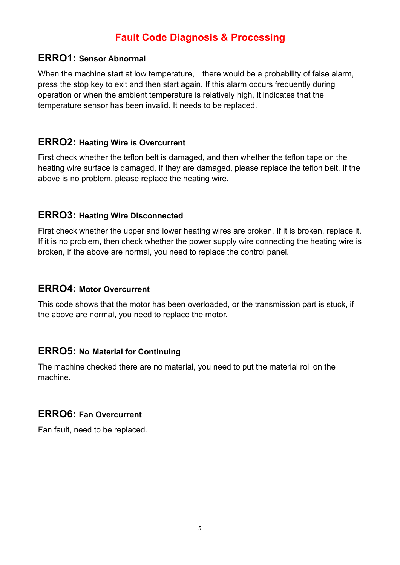# **Fault Code Diagnosis & Processing**

#### **ERRO1: Sensor Abnormal**

When the machine start at low temperature, there would be a probability of false alarm, press the stop key to exit and then start again. If this alarm occurs frequently during operation or when the ambient temperature is relatively high, it indicates that the temperature sensor has been invalid. It needs to be replaced.

## **ERRO2: Heating Wire is Overcurrent**

First check whether the teflon belt is damaged, and then whether the teflon tape on the heating wire surface is damaged, If they are damaged, please replace the teflon belt. If the above is no problem, please replace the heating wire.

## **ERRO3: Heating Wire Disconnected**

First check whether the upper and lower heating wires are broken. If it is broken, replace it. If it is no problem, then check whether the power supply wire connecting the heating wire is broken, if the above are normal, you need to replace the control panel.

## **ERRO4: Motor Overcurrent**

This code shows that the motor has been overloaded, or the transmission part is stuck, if the above are normal, you need to replace the motor.

#### **ERRO5: No Material for Continuing**

The machine checked there are no material, you need to put the material roll on the machine.

## **ERRO6: Fan Overcurrent**

Fan fault, need to be replaced.